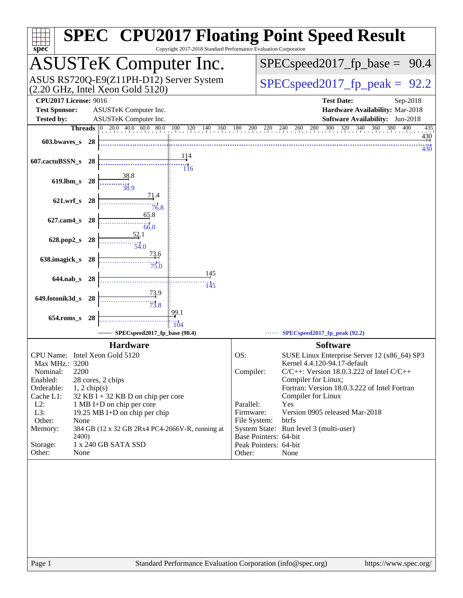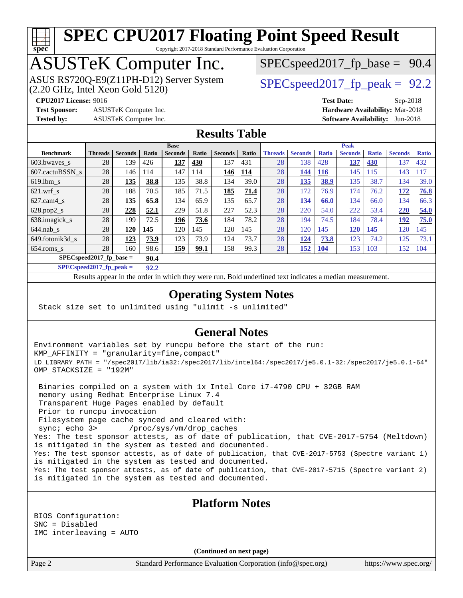### **[spec](http://www.spec.org/)**

## **[SPEC CPU2017 Floating Point Speed Result](http://www.spec.org/auto/cpu2017/Docs/result-fields.html#SPECCPU2017FloatingPointSpeedResult)**

Copyright 2017-2018 Standard Performance Evaluation Corporation

### ASUSTeK Computer Inc.

 $(2.20 \text{ GHz}, \text{ Intel Xeon}$  Gold  $5120)$ ASUS RS720Q-E9(Z11PH-D12) Server System  $SPEC speed2017$  fp\_peak = 92.2

 $SPECspeed2017_fp\_base = 90.4$ 

**[Test Sponsor:](http://www.spec.org/auto/cpu2017/Docs/result-fields.html#TestSponsor)** ASUSTeK Computer Inc. **[Hardware Availability:](http://www.spec.org/auto/cpu2017/Docs/result-fields.html#HardwareAvailability)** Mar-2018

**[CPU2017 License:](http://www.spec.org/auto/cpu2017/Docs/result-fields.html#CPU2017License)** 9016 **[Test Date:](http://www.spec.org/auto/cpu2017/Docs/result-fields.html#TestDate)** Sep-2018 **[Tested by:](http://www.spec.org/auto/cpu2017/Docs/result-fields.html#Testedby)** ASUSTeK Computer Inc. **[Software Availability:](http://www.spec.org/auto/cpu2017/Docs/result-fields.html#SoftwareAvailability)** Jun-2018

#### **[Results Table](http://www.spec.org/auto/cpu2017/Docs/result-fields.html#ResultsTable)**

|                                    | <b>Base</b>    |                |              |                |       | <b>Peak</b>    |            |                |                |              |                |              |                |              |
|------------------------------------|----------------|----------------|--------------|----------------|-------|----------------|------------|----------------|----------------|--------------|----------------|--------------|----------------|--------------|
| <b>Benchmark</b>                   | <b>Threads</b> | <b>Seconds</b> | <b>Ratio</b> | <b>Seconds</b> | Ratio | <b>Seconds</b> | Ratio      | <b>Threads</b> | <b>Seconds</b> | <b>Ratio</b> | <b>Seconds</b> | <b>Ratio</b> | <b>Seconds</b> | <b>Ratio</b> |
| 603.bwayes_s                       | 28             | 139            | 426          | 137            | 430   | 137            | 431        | 28             | 138            | 428          | <b>137</b>     | <b>430</b>   | 137            | 432          |
| 607.cactuBSSN s                    | 28             | 146            | 114          | 147            | 114   | 146            | <u>114</u> | 28             | 144            | 116          | 145            | 115          | 143            | 117          |
| $619.1$ bm s                       | 28             | 135            | 38.8         | 135            | 38.8  | 134            | 39.0       | 28             | 135            | 38.9         | 135            | 38.7         | 134            | 39.0         |
| $621$ wrf s                        | 28             | 188            | 70.5         | 185            | 71.5  | 185            | 71.4       | 28             | 172            | 76.9         | 174            | 76.2         | 172            | <b>76.8</b>  |
| $627$ .cam4 s                      | 28             | 135            | 65.8         | 134            | 65.9  | 135            | 65.7       | 28             | 134            | 66.0         | 134            | 66.0         | 134            | 66.3         |
| $628.pop2_s$                       | 28             | 228            | 52.1         | 229            | 51.8  | 227            | 52.3       | 28             | 220            | 54.0         | 222            | 53.4         | 220            | 54.0         |
| 638.imagick_s                      | 28             | 199            | 72.5         | 196            | 73.6  | 184            | 78.2       | 28             | 194            | 74.5         | 184            | 78.4         | 192            | 75.0         |
| $644$ .nab s                       | 28             | 120            | 145          | 120            | 145   | 120            | 145        | 28             | 120            | 145          | 120            | <u>145</u>   | 120            | 145          |
| 649.fotonik3d s                    | 28             | 123            | 73.9         | 123            | 73.9  | 124            | 73.7       | 28             | 124            | 73.8         | 123            | 74.2         | 125            | 73.1         |
| $654$ .roms s                      | 28             | 160            | 98.6         | <u>159</u>     | 99.1  | 158            | 99.3       | 28             | 152            | <b>104</b>   | 153            | 103          | 152            | 104          |
| $SPEC speed2017$ fp base =<br>90.4 |                |                |              |                |       |                |            |                |                |              |                |              |                |              |

**[SPECspeed2017\\_fp\\_peak =](http://www.spec.org/auto/cpu2017/Docs/result-fields.html#SPECspeed2017fppeak) 92.2**

Results appear in the [order in which they were run.](http://www.spec.org/auto/cpu2017/Docs/result-fields.html#RunOrder) Bold underlined text [indicates a median measurement](http://www.spec.org/auto/cpu2017/Docs/result-fields.html#Median).

#### **[Operating System Notes](http://www.spec.org/auto/cpu2017/Docs/result-fields.html#OperatingSystemNotes)**

Stack size set to unlimited using "ulimit -s unlimited"

#### **[General Notes](http://www.spec.org/auto/cpu2017/Docs/result-fields.html#GeneralNotes)**

Environment variables set by runcpu before the start of the run: KMP\_AFFINITY = "granularity=fine,compact" LD\_LIBRARY\_PATH = "/spec2017/lib/ia32:/spec2017/lib/intel64:/spec2017/je5.0.1-32:/spec2017/je5.0.1-64" OMP\_STACKSIZE = "192M"

 Binaries compiled on a system with 1x Intel Core i7-4790 CPU + 32GB RAM memory using Redhat Enterprise Linux 7.4 Transparent Huge Pages enabled by default Prior to runcpu invocation Filesystem page cache synced and cleared with: sync; echo 3> /proc/sys/vm/drop\_caches Yes: The test sponsor attests, as of date of publication, that CVE-2017-5754 (Meltdown) is mitigated in the system as tested and documented. Yes: The test sponsor attests, as of date of publication, that CVE-2017-5753 (Spectre variant 1) is mitigated in the system as tested and documented. Yes: The test sponsor attests, as of date of publication, that CVE-2017-5715 (Spectre variant 2) is mitigated in the system as tested and documented.

#### **[Platform Notes](http://www.spec.org/auto/cpu2017/Docs/result-fields.html#PlatformNotes)**

BIOS Configuration: SNC = Disabled IMC interleaving = AUTO

**(Continued on next page)**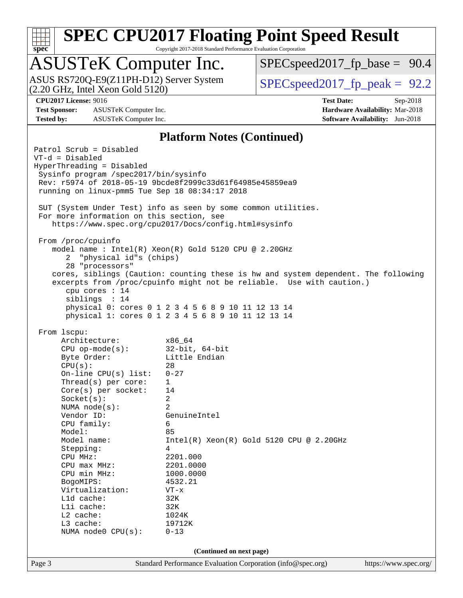

Copyright 2017-2018 Standard Performance Evaluation Corporation

# ASUSTeK Computer Inc.<br>ASUS RS720Q-E9(Z11PH-D12) Server System

(2.20 GHz, Intel Xeon Gold 5120)

 $SPECspeed2017_fp\_base = 90.4$ 

 $SPECspeed2017_fp\_peak = 92.2$ 

**[Test Sponsor:](http://www.spec.org/auto/cpu2017/Docs/result-fields.html#TestSponsor)** ASUSTeK Computer Inc. **[Hardware Availability:](http://www.spec.org/auto/cpu2017/Docs/result-fields.html#HardwareAvailability)** Mar-2018 **[Tested by:](http://www.spec.org/auto/cpu2017/Docs/result-fields.html#Testedby)** ASUSTeK Computer Inc. **[Software Availability:](http://www.spec.org/auto/cpu2017/Docs/result-fields.html#SoftwareAvailability)** Jun-2018

**[CPU2017 License:](http://www.spec.org/auto/cpu2017/Docs/result-fields.html#CPU2017License)** 9016 **[Test Date:](http://www.spec.org/auto/cpu2017/Docs/result-fields.html#TestDate)** Sep-2018

#### **[Platform Notes \(Continued\)](http://www.spec.org/auto/cpu2017/Docs/result-fields.html#PlatformNotes)**

Page 3 Standard Performance Evaluation Corporation [\(info@spec.org\)](mailto:info@spec.org) <https://www.spec.org/> Patrol Scrub = Disabled VT-d = Disabled HyperThreading = Disabled Sysinfo program /spec2017/bin/sysinfo Rev: r5974 of 2018-05-19 9bcde8f2999c33d61f64985e45859ea9 running on linux-pmm5 Tue Sep 18 08:34:17 2018 SUT (System Under Test) info as seen by some common utilities. For more information on this section, see <https://www.spec.org/cpu2017/Docs/config.html#sysinfo> From /proc/cpuinfo model name : Intel(R) Xeon(R) Gold 5120 CPU @ 2.20GHz 2 "physical id"s (chips) 28 "processors" cores, siblings (Caution: counting these is hw and system dependent. The following excerpts from /proc/cpuinfo might not be reliable. Use with caution.) cpu cores : 14 siblings : 14 physical 0: cores 0 1 2 3 4 5 6 8 9 10 11 12 13 14 physical 1: cores 0 1 2 3 4 5 6 8 9 10 11 12 13 14 From lscpu: Architecture: x86\_64 CPU op-mode(s): 32-bit, 64-bit Byte Order: Little Endian CPU(s): 28 On-line CPU(s) list: 0-27 Thread(s) per core: 1 Core(s) per socket: 14 Socket(s): 2 NUMA node(s): 2 Vendor ID: GenuineIntel CPU family: 6 Model: 85 Model name: Intel(R) Xeon(R) Gold 5120 CPU @ 2.20GHz Stepping: 4 CPU MHz: 2201.000 CPU max MHz: 2201.0000 CPU min MHz: 1000.0000 BogoMIPS: 4532.21 Virtualization: VT-x L1d cache: 32K L1i cache: 32K L2 cache: 1024K L3 cache: 19712K NUMA node0 CPU(s): 0-13 **(Continued on next page)**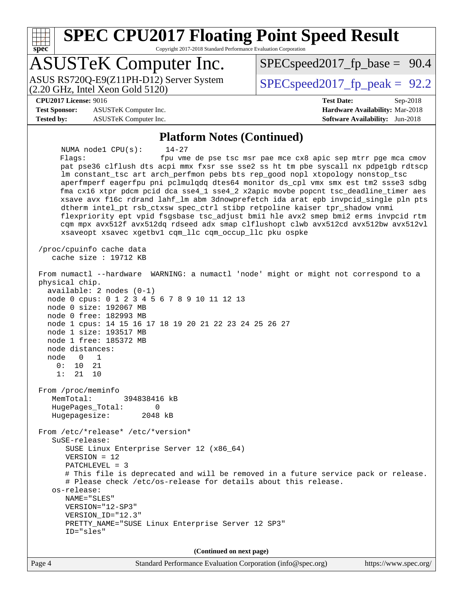**[spec](http://www.spec.org/)**

### **[SPEC CPU2017 Floating Point Speed Result](http://www.spec.org/auto/cpu2017/Docs/result-fields.html#SPECCPU2017FloatingPointSpeedResult)**

Copyright 2017-2018 Standard Performance Evaluation Corporation

### ASUSTeK Computer Inc.

(2.20 GHz, Intel Xeon Gold 5120) ASUS RS720Q-E9(Z11PH-D12) Server System  $SPEC speed2017$  fp\_peak = 92.2

 $SPECspeed2017_fp\_base = 90.4$ 

#### **[CPU2017 License:](http://www.spec.org/auto/cpu2017/Docs/result-fields.html#CPU2017License)** 9016 **[Test Date:](http://www.spec.org/auto/cpu2017/Docs/result-fields.html#TestDate)** Sep-2018

**[Test Sponsor:](http://www.spec.org/auto/cpu2017/Docs/result-fields.html#TestSponsor)** ASUSTeK Computer Inc. **[Hardware Availability:](http://www.spec.org/auto/cpu2017/Docs/result-fields.html#HardwareAvailability)** Mar-2018 **[Tested by:](http://www.spec.org/auto/cpu2017/Docs/result-fields.html#Testedby)** ASUSTeK Computer Inc. **[Software Availability:](http://www.spec.org/auto/cpu2017/Docs/result-fields.html#SoftwareAvailability)** Jun-2018

#### **[Platform Notes \(Continued\)](http://www.spec.org/auto/cpu2017/Docs/result-fields.html#PlatformNotes)**

 NUMA node1 CPU(s): 14-27 Flags: fpu vme de pse tsc msr pae mce cx8 apic sep mtrr pge mca cmov pat pse36 clflush dts acpi mmx fxsr sse sse2 ss ht tm pbe syscall nx pdpe1gb rdtscp lm constant\_tsc art arch\_perfmon pebs bts rep\_good nopl xtopology nonstop\_tsc aperfmperf eagerfpu pni pclmulqdq dtes64 monitor ds\_cpl vmx smx est tm2 ssse3 sdbg fma cx16 xtpr pdcm pcid dca sse4\_1 sse4\_2 x2apic movbe popcnt tsc\_deadline\_timer aes xsave avx f16c rdrand lahf\_lm abm 3dnowprefetch ida arat epb invpcid\_single pln pts dtherm intel\_pt rsb\_ctxsw spec\_ctrl stibp retpoline kaiser tpr\_shadow vnmi flexpriority ept vpid fsgsbase tsc\_adjust bmi1 hle avx2 smep bmi2 erms invpcid rtm cqm mpx avx512f avx512dq rdseed adx smap clflushopt clwb avx512cd avx512bw avx512vl xsaveopt xsavec xgetbv1 cqm\_llc cqm\_occup\_llc pku ospke /proc/cpuinfo cache data cache size : 19712 KB From numactl --hardware WARNING: a numactl 'node' might or might not correspond to a physical chip. available: 2 nodes (0-1) node 0 cpus: 0 1 2 3 4 5 6 7 8 9 10 11 12 13 node 0 size: 192067 MB node 0 free: 182993 MB node 1 cpus: 14 15 16 17 18 19 20 21 22 23 24 25 26 27 node 1 size: 193517 MB node 1 free: 185372 MB node distances: node 0 1 0: 10 21 1: 21 10 From /proc/meminfo MemTotal: 394838416 kB HugePages\_Total: 0 Hugepagesize: 2048 kB From /etc/\*release\* /etc/\*version\* SuSE-release: SUSE Linux Enterprise Server 12 (x86\_64) VERSION = 12 PATCHLEVEL = 3 # This file is deprecated and will be removed in a future service pack or release. # Please check /etc/os-release for details about this release. os-release: NAME="SLES" VERSION="12-SP3" VERSION\_ID="12.3" PRETTY\_NAME="SUSE Linux Enterprise Server 12 SP3" ID="sles" **(Continued on next page)**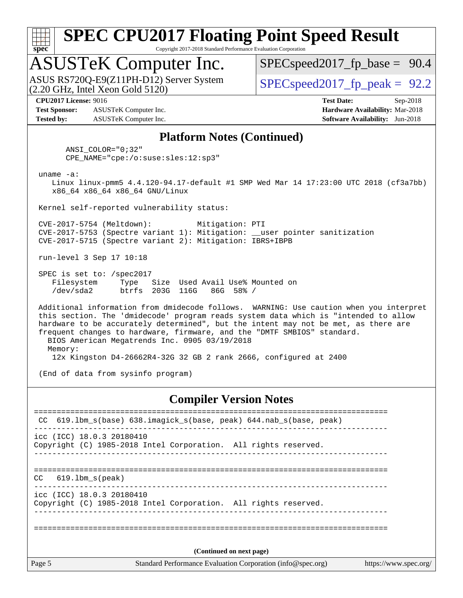

Copyright 2017-2018 Standard Performance Evaluation Corporation

### ASUSTeK Computer Inc.

 $(2.20 \text{ GHz}, \text{ Intel Xeon}$  Gold  $5120)$ ASUS RS720Q-E9(Z11PH-D12) Server System  $SPEC speed2017$  fp\_peak = 92.2

 $SPECspeed2017_fp\_base = 90.4$ 

**[Test Sponsor:](http://www.spec.org/auto/cpu2017/Docs/result-fields.html#TestSponsor)** ASUSTeK Computer Inc. **[Hardware Availability:](http://www.spec.org/auto/cpu2017/Docs/result-fields.html#HardwareAvailability)** Mar-2018 **[Tested by:](http://www.spec.org/auto/cpu2017/Docs/result-fields.html#Testedby)** ASUSTeK Computer Inc. **[Software Availability:](http://www.spec.org/auto/cpu2017/Docs/result-fields.html#SoftwareAvailability)** Jun-2018

**[CPU2017 License:](http://www.spec.org/auto/cpu2017/Docs/result-fields.html#CPU2017License)** 9016 **[Test Date:](http://www.spec.org/auto/cpu2017/Docs/result-fields.html#TestDate)** Sep-2018

#### **[Platform Notes \(Continued\)](http://www.spec.org/auto/cpu2017/Docs/result-fields.html#PlatformNotes)**

 ANSI\_COLOR="0;32" CPE\_NAME="cpe:/o:suse:sles:12:sp3"

uname -a:

 Linux linux-pmm5 4.4.120-94.17-default #1 SMP Wed Mar 14 17:23:00 UTC 2018 (cf3a7bb) x86\_64 x86\_64 x86\_64 GNU/Linux

Kernel self-reported vulnerability status:

 CVE-2017-5754 (Meltdown): Mitigation: PTI CVE-2017-5753 (Spectre variant 1): Mitigation: \_\_user pointer sanitization CVE-2017-5715 (Spectre variant 2): Mitigation: IBRS+IBPB

run-level 3 Sep 17 10:18

 SPEC is set to: /spec2017 Filesystem Type Size Used Avail Use% Mounted on /dev/sda2 btrfs 203G 116G 86G 58% /

 Additional information from dmidecode follows. WARNING: Use caution when you interpret this section. The 'dmidecode' program reads system data which is "intended to allow hardware to be accurately determined", but the intent may not be met, as there are frequent changes to hardware, firmware, and the "DMTF SMBIOS" standard. BIOS American Megatrends Inc. 0905 03/19/2018 Memory: 12x Kingston D4-26662R4-32G 32 GB 2 rank 2666, configured at 2400

(End of data from sysinfo program)

#### **[Compiler Version Notes](http://www.spec.org/auto/cpu2017/Docs/result-fields.html#CompilerVersionNotes)**

| CC                                                                                             | 619.1bm_s(base) 638.imagick_s(base, peak) 644.nab_s(base, peak)                                       |  |  |  |
|------------------------------------------------------------------------------------------------|-------------------------------------------------------------------------------------------------------|--|--|--|
|                                                                                                | $\text{icc}$ (ICC) 18.0.3 20180410<br>Copyright (C) 1985-2018 Intel Corporation. All rights reserved. |  |  |  |
| CC.                                                                                            | 619.1bm s(peak)                                                                                       |  |  |  |
|                                                                                                | $\text{icc}$ (ICC) 18.0.3 20180410<br>Copyright (C) 1985-2018 Intel Corporation. All rights reserved. |  |  |  |
|                                                                                                | (Continued on next page)                                                                              |  |  |  |
| Page 5<br>Standard Performance Evaluation Corporation (info@spec.org)<br>https://www.spec.org/ |                                                                                                       |  |  |  |
|                                                                                                |                                                                                                       |  |  |  |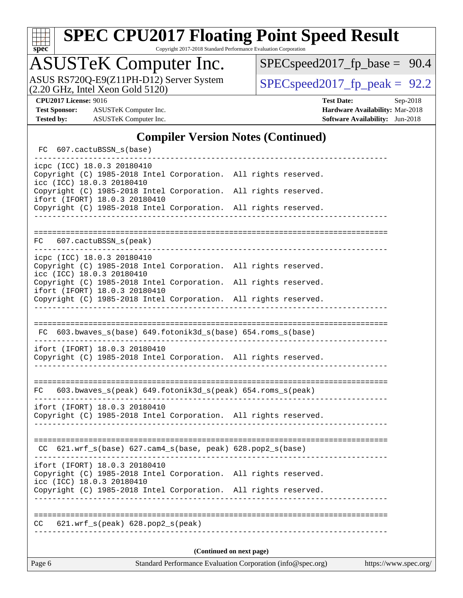

Copyright 2017-2018 Standard Performance Evaluation Corporation

### ASUSTeK Computer Inc.

ASUS RS720Q-E9(Z11PH-D12) Server System  $(2.20 \text{ GHz}, \text{ Intel Xeon Gold } 5120)$ 

[SPECspeed2017\\_fp\\_base =](http://www.spec.org/auto/cpu2017/Docs/result-fields.html#SPECspeed2017fpbase) 90.4

**[Test Sponsor:](http://www.spec.org/auto/cpu2017/Docs/result-fields.html#TestSponsor)** ASUSTeK Computer Inc. **[Hardware Availability:](http://www.spec.org/auto/cpu2017/Docs/result-fields.html#HardwareAvailability)** Mar-2018 **[Tested by:](http://www.spec.org/auto/cpu2017/Docs/result-fields.html#Testedby)** ASUSTeK Computer Inc. **[Software Availability:](http://www.spec.org/auto/cpu2017/Docs/result-fields.html#SoftwareAvailability)** Jun-2018

**[CPU2017 License:](http://www.spec.org/auto/cpu2017/Docs/result-fields.html#CPU2017License)** 9016 **[Test Date:](http://www.spec.org/auto/cpu2017/Docs/result-fields.html#TestDate)** Sep-2018

#### **[Compiler Version Notes \(Continued\)](http://www.spec.org/auto/cpu2017/Docs/result-fields.html#CompilerVersionNotes)**

| FC 607.cactuBSSN_s(base)                                                                                                      |                           |                                       |
|-------------------------------------------------------------------------------------------------------------------------------|---------------------------|---------------------------------------|
| icpc (ICC) 18.0.3 20180410<br>Copyright (C) 1985-2018 Intel Corporation. All rights reserved.<br>icc (ICC) 18.0.3 20180410    |                           |                                       |
| Copyright (C) 1985-2018 Intel Corporation.<br>ifort (IFORT) 18.0.3 20180410                                                   |                           | All rights reserved.                  |
| Copyright (C) 1985-2018 Intel Corporation. All rights reserved.                                                               | _________________________ |                                       |
|                                                                                                                               |                           |                                       |
| 607.cactuBSSN_s(peak)<br>FC                                                                                                   |                           |                                       |
| icpc (ICC) 18.0.3 20180410<br>Copyright (C) 1985-2018 Intel Corporation. All rights reserved.<br>icc (ICC) 18.0.3 20180410    |                           |                                       |
| Copyright (C) 1985-2018 Intel Corporation. All rights reserved.<br>ifort (IFORT) 18.0.3 20180410                              |                           |                                       |
| Copyright (C) 1985-2018 Intel Corporation. All rights reserved.                                                               |                           |                                       |
|                                                                                                                               |                           |                                       |
| FC 603.bwaves_s(base) 649.fotonik3d_s(base) 654.roms_s(base)                                                                  |                           | _____________________________________ |
| ifort (IFORT) 18.0.3 20180410<br>Copyright (C) 1985-2018 Intel Corporation. All rights reserved.                              |                           |                                       |
|                                                                                                                               |                           |                                       |
| FC 603.bwaves_s(peak) 649.fotonik3d_s(peak) 654.roms_s(peak)                                                                  |                           |                                       |
| ifort (IFORT) 18.0.3 20180410<br>Copyright (C) 1985-2018 Intel Corporation. All rights reserved.                              |                           |                                       |
|                                                                                                                               |                           |                                       |
| $CC$ 621.wrf_s(base) 627.cam4_s(base, peak) 628.pop2_s(base)                                                                  |                           |                                       |
| ifort (IFORT) 18.0.3 20180410<br>Copyright (C) 1985-2018 Intel Corporation. All rights reserved.<br>icc (ICC) 18.0.3 20180410 |                           |                                       |
| Copyright (C) 1985-2018 Intel Corporation. All rights reserved.                                                               |                           |                                       |
|                                                                                                                               |                           |                                       |
| $621.wrf_s(peak)$ $628.pop2_s(peak)$<br>CC                                                                                    |                           |                                       |
|                                                                                                                               |                           |                                       |
|                                                                                                                               |                           | (Continued on next page)              |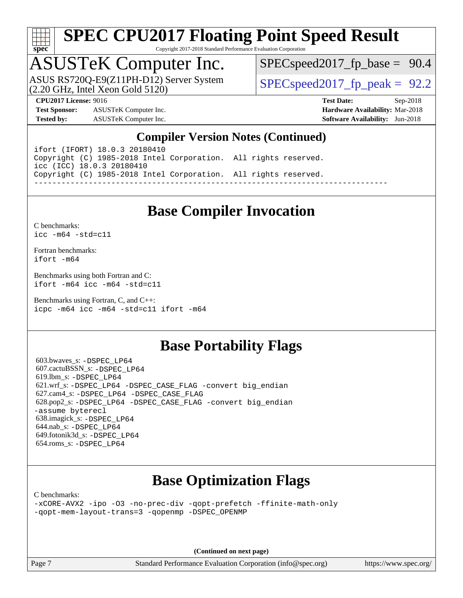

Copyright 2017-2018 Standard Performance Evaluation Corporation

# ASUSTeK Computer Inc.<br>ASUS RS720Q-E9(Z11PH-D12) Server System

(2.20 GHz, Intel Xeon Gold 5120)

 $SPECspeed2017_fp\_base = 90.4$ 

 $SPECspeed2017_fp\_peak = 92.2$ 

**[Test Sponsor:](http://www.spec.org/auto/cpu2017/Docs/result-fields.html#TestSponsor)** ASUSTeK Computer Inc. **[Hardware Availability:](http://www.spec.org/auto/cpu2017/Docs/result-fields.html#HardwareAvailability)** Mar-2018 **[Tested by:](http://www.spec.org/auto/cpu2017/Docs/result-fields.html#Testedby)** ASUSTeK Computer Inc. **[Software Availability:](http://www.spec.org/auto/cpu2017/Docs/result-fields.html#SoftwareAvailability)** Jun-2018

**[CPU2017 License:](http://www.spec.org/auto/cpu2017/Docs/result-fields.html#CPU2017License)** 9016 **[Test Date:](http://www.spec.org/auto/cpu2017/Docs/result-fields.html#TestDate)** Sep-2018

#### **[Compiler Version Notes \(Continued\)](http://www.spec.org/auto/cpu2017/Docs/result-fields.html#CompilerVersionNotes)**

ifort (IFORT) 18.0.3 20180410 Copyright (C) 1985-2018 Intel Corporation. All rights reserved. icc (ICC) 18.0.3 20180410 Copyright (C) 1985-2018 Intel Corporation. All rights reserved. ------------------------------------------------------------------------------

#### **[Base Compiler Invocation](http://www.spec.org/auto/cpu2017/Docs/result-fields.html#BaseCompilerInvocation)**

[C benchmarks](http://www.spec.org/auto/cpu2017/Docs/result-fields.html#Cbenchmarks): [icc -m64 -std=c11](http://www.spec.org/cpu2017/results/res2018q4/cpu2017-20181015-09159.flags.html#user_CCbase_intel_icc_64bit_c11_33ee0cdaae7deeeab2a9725423ba97205ce30f63b9926c2519791662299b76a0318f32ddfffdc46587804de3178b4f9328c46fa7c2b0cd779d7a61945c91cd35)

[Fortran benchmarks](http://www.spec.org/auto/cpu2017/Docs/result-fields.html#Fortranbenchmarks): [ifort -m64](http://www.spec.org/cpu2017/results/res2018q4/cpu2017-20181015-09159.flags.html#user_FCbase_intel_ifort_64bit_24f2bb282fbaeffd6157abe4f878425411749daecae9a33200eee2bee2fe76f3b89351d69a8130dd5949958ce389cf37ff59a95e7a40d588e8d3a57e0c3fd751)

[Benchmarks using both Fortran and C](http://www.spec.org/auto/cpu2017/Docs/result-fields.html#BenchmarksusingbothFortranandC): [ifort -m64](http://www.spec.org/cpu2017/results/res2018q4/cpu2017-20181015-09159.flags.html#user_CC_FCbase_intel_ifort_64bit_24f2bb282fbaeffd6157abe4f878425411749daecae9a33200eee2bee2fe76f3b89351d69a8130dd5949958ce389cf37ff59a95e7a40d588e8d3a57e0c3fd751) [icc -m64 -std=c11](http://www.spec.org/cpu2017/results/res2018q4/cpu2017-20181015-09159.flags.html#user_CC_FCbase_intel_icc_64bit_c11_33ee0cdaae7deeeab2a9725423ba97205ce30f63b9926c2519791662299b76a0318f32ddfffdc46587804de3178b4f9328c46fa7c2b0cd779d7a61945c91cd35)

[Benchmarks using Fortran, C, and C++:](http://www.spec.org/auto/cpu2017/Docs/result-fields.html#BenchmarksusingFortranCandCXX) [icpc -m64](http://www.spec.org/cpu2017/results/res2018q4/cpu2017-20181015-09159.flags.html#user_CC_CXX_FCbase_intel_icpc_64bit_4ecb2543ae3f1412ef961e0650ca070fec7b7afdcd6ed48761b84423119d1bf6bdf5cad15b44d48e7256388bc77273b966e5eb805aefd121eb22e9299b2ec9d9) [icc -m64 -std=c11](http://www.spec.org/cpu2017/results/res2018q4/cpu2017-20181015-09159.flags.html#user_CC_CXX_FCbase_intel_icc_64bit_c11_33ee0cdaae7deeeab2a9725423ba97205ce30f63b9926c2519791662299b76a0318f32ddfffdc46587804de3178b4f9328c46fa7c2b0cd779d7a61945c91cd35) [ifort -m64](http://www.spec.org/cpu2017/results/res2018q4/cpu2017-20181015-09159.flags.html#user_CC_CXX_FCbase_intel_ifort_64bit_24f2bb282fbaeffd6157abe4f878425411749daecae9a33200eee2bee2fe76f3b89351d69a8130dd5949958ce389cf37ff59a95e7a40d588e8d3a57e0c3fd751)

#### **[Base Portability Flags](http://www.spec.org/auto/cpu2017/Docs/result-fields.html#BasePortabilityFlags)**

 603.bwaves\_s: [-DSPEC\\_LP64](http://www.spec.org/cpu2017/results/res2018q4/cpu2017-20181015-09159.flags.html#suite_basePORTABILITY603_bwaves_s_DSPEC_LP64) 607.cactuBSSN\_s: [-DSPEC\\_LP64](http://www.spec.org/cpu2017/results/res2018q4/cpu2017-20181015-09159.flags.html#suite_basePORTABILITY607_cactuBSSN_s_DSPEC_LP64) 619.lbm\_s: [-DSPEC\\_LP64](http://www.spec.org/cpu2017/results/res2018q4/cpu2017-20181015-09159.flags.html#suite_basePORTABILITY619_lbm_s_DSPEC_LP64) 621.wrf\_s: [-DSPEC\\_LP64](http://www.spec.org/cpu2017/results/res2018q4/cpu2017-20181015-09159.flags.html#suite_basePORTABILITY621_wrf_s_DSPEC_LP64) [-DSPEC\\_CASE\\_FLAG](http://www.spec.org/cpu2017/results/res2018q4/cpu2017-20181015-09159.flags.html#b621.wrf_s_baseCPORTABILITY_DSPEC_CASE_FLAG) [-convert big\\_endian](http://www.spec.org/cpu2017/results/res2018q4/cpu2017-20181015-09159.flags.html#user_baseFPORTABILITY621_wrf_s_convert_big_endian_c3194028bc08c63ac5d04de18c48ce6d347e4e562e8892b8bdbdc0214820426deb8554edfa529a3fb25a586e65a3d812c835984020483e7e73212c4d31a38223) 627.cam4\_s: [-DSPEC\\_LP64](http://www.spec.org/cpu2017/results/res2018q4/cpu2017-20181015-09159.flags.html#suite_basePORTABILITY627_cam4_s_DSPEC_LP64) [-DSPEC\\_CASE\\_FLAG](http://www.spec.org/cpu2017/results/res2018q4/cpu2017-20181015-09159.flags.html#b627.cam4_s_baseCPORTABILITY_DSPEC_CASE_FLAG) 628.pop2\_s: [-DSPEC\\_LP64](http://www.spec.org/cpu2017/results/res2018q4/cpu2017-20181015-09159.flags.html#suite_basePORTABILITY628_pop2_s_DSPEC_LP64) [-DSPEC\\_CASE\\_FLAG](http://www.spec.org/cpu2017/results/res2018q4/cpu2017-20181015-09159.flags.html#b628.pop2_s_baseCPORTABILITY_DSPEC_CASE_FLAG) [-convert big\\_endian](http://www.spec.org/cpu2017/results/res2018q4/cpu2017-20181015-09159.flags.html#user_baseFPORTABILITY628_pop2_s_convert_big_endian_c3194028bc08c63ac5d04de18c48ce6d347e4e562e8892b8bdbdc0214820426deb8554edfa529a3fb25a586e65a3d812c835984020483e7e73212c4d31a38223) [-assume byterecl](http://www.spec.org/cpu2017/results/res2018q4/cpu2017-20181015-09159.flags.html#user_baseFPORTABILITY628_pop2_s_assume_byterecl_7e47d18b9513cf18525430bbf0f2177aa9bf368bc7a059c09b2c06a34b53bd3447c950d3f8d6c70e3faf3a05c8557d66a5798b567902e8849adc142926523472) 638.imagick\_s: [-DSPEC\\_LP64](http://www.spec.org/cpu2017/results/res2018q4/cpu2017-20181015-09159.flags.html#suite_basePORTABILITY638_imagick_s_DSPEC_LP64) 644.nab\_s: [-DSPEC\\_LP64](http://www.spec.org/cpu2017/results/res2018q4/cpu2017-20181015-09159.flags.html#suite_basePORTABILITY644_nab_s_DSPEC_LP64) 649.fotonik3d\_s: [-DSPEC\\_LP64](http://www.spec.org/cpu2017/results/res2018q4/cpu2017-20181015-09159.flags.html#suite_basePORTABILITY649_fotonik3d_s_DSPEC_LP64) 654.roms\_s: [-DSPEC\\_LP64](http://www.spec.org/cpu2017/results/res2018q4/cpu2017-20181015-09159.flags.html#suite_basePORTABILITY654_roms_s_DSPEC_LP64)

### **[Base Optimization Flags](http://www.spec.org/auto/cpu2017/Docs/result-fields.html#BaseOptimizationFlags)**

[C benchmarks](http://www.spec.org/auto/cpu2017/Docs/result-fields.html#Cbenchmarks):

[-xCORE-AVX2](http://www.spec.org/cpu2017/results/res2018q4/cpu2017-20181015-09159.flags.html#user_CCbase_f-xCORE-AVX2) [-ipo](http://www.spec.org/cpu2017/results/res2018q4/cpu2017-20181015-09159.flags.html#user_CCbase_f-ipo) [-O3](http://www.spec.org/cpu2017/results/res2018q4/cpu2017-20181015-09159.flags.html#user_CCbase_f-O3) [-no-prec-div](http://www.spec.org/cpu2017/results/res2018q4/cpu2017-20181015-09159.flags.html#user_CCbase_f-no-prec-div) [-qopt-prefetch](http://www.spec.org/cpu2017/results/res2018q4/cpu2017-20181015-09159.flags.html#user_CCbase_f-qopt-prefetch) [-ffinite-math-only](http://www.spec.org/cpu2017/results/res2018q4/cpu2017-20181015-09159.flags.html#user_CCbase_f_finite_math_only_cb91587bd2077682c4b38af759c288ed7c732db004271a9512da14a4f8007909a5f1427ecbf1a0fb78ff2a814402c6114ac565ca162485bbcae155b5e4258871) [-qopt-mem-layout-trans=3](http://www.spec.org/cpu2017/results/res2018q4/cpu2017-20181015-09159.flags.html#user_CCbase_f-qopt-mem-layout-trans_de80db37974c74b1f0e20d883f0b675c88c3b01e9d123adea9b28688d64333345fb62bc4a798493513fdb68f60282f9a726aa07f478b2f7113531aecce732043) [-qopenmp](http://www.spec.org/cpu2017/results/res2018q4/cpu2017-20181015-09159.flags.html#user_CCbase_qopenmp_16be0c44f24f464004c6784a7acb94aca937f053568ce72f94b139a11c7c168634a55f6653758ddd83bcf7b8463e8028bb0b48b77bcddc6b78d5d95bb1df2967) [-DSPEC\\_OPENMP](http://www.spec.org/cpu2017/results/res2018q4/cpu2017-20181015-09159.flags.html#suite_CCbase_DSPEC_OPENMP)

**(Continued on next page)**

Page 7 Standard Performance Evaluation Corporation [\(info@spec.org\)](mailto:info@spec.org) <https://www.spec.org/>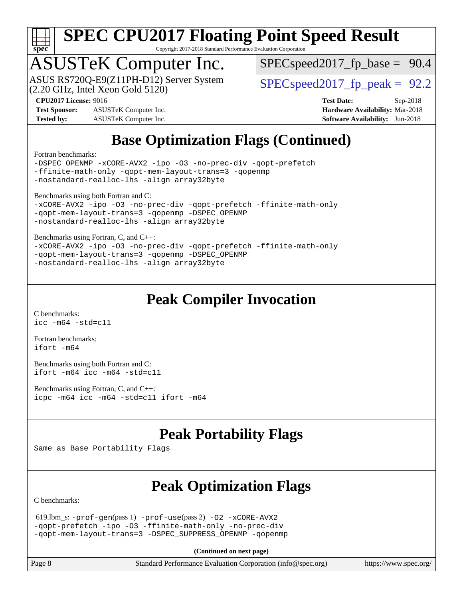

Copyright 2017-2018 Standard Performance Evaluation Corporation

# ASUSTeK Computer Inc.<br>ASUS RS720Q-E9(Z11PH-D12) Server System

(2.20 GHz, Intel Xeon Gold 5120)

 $SPECspeed2017_fp\_base = 90.4$ 

 $SPECspeed2017_fp\_peak = 92.2$ 

**[Test Sponsor:](http://www.spec.org/auto/cpu2017/Docs/result-fields.html#TestSponsor)** ASUSTeK Computer Inc. **[Hardware Availability:](http://www.spec.org/auto/cpu2017/Docs/result-fields.html#HardwareAvailability)** Mar-2018 **[Tested by:](http://www.spec.org/auto/cpu2017/Docs/result-fields.html#Testedby)** ASUSTeK Computer Inc. **[Software Availability:](http://www.spec.org/auto/cpu2017/Docs/result-fields.html#SoftwareAvailability)** Jun-2018

**[CPU2017 License:](http://www.spec.org/auto/cpu2017/Docs/result-fields.html#CPU2017License)** 9016 **[Test Date:](http://www.spec.org/auto/cpu2017/Docs/result-fields.html#TestDate)** Sep-2018

### **[Base Optimization Flags \(Continued\)](http://www.spec.org/auto/cpu2017/Docs/result-fields.html#BaseOptimizationFlags)**

[Fortran benchmarks](http://www.spec.org/auto/cpu2017/Docs/result-fields.html#Fortranbenchmarks):

[-DSPEC\\_OPENMP](http://www.spec.org/cpu2017/results/res2018q4/cpu2017-20181015-09159.flags.html#suite_FCbase_DSPEC_OPENMP) [-xCORE-AVX2](http://www.spec.org/cpu2017/results/res2018q4/cpu2017-20181015-09159.flags.html#user_FCbase_f-xCORE-AVX2) [-ipo](http://www.spec.org/cpu2017/results/res2018q4/cpu2017-20181015-09159.flags.html#user_FCbase_f-ipo) [-O3](http://www.spec.org/cpu2017/results/res2018q4/cpu2017-20181015-09159.flags.html#user_FCbase_f-O3) [-no-prec-div](http://www.spec.org/cpu2017/results/res2018q4/cpu2017-20181015-09159.flags.html#user_FCbase_f-no-prec-div) [-qopt-prefetch](http://www.spec.org/cpu2017/results/res2018q4/cpu2017-20181015-09159.flags.html#user_FCbase_f-qopt-prefetch) [-ffinite-math-only](http://www.spec.org/cpu2017/results/res2018q4/cpu2017-20181015-09159.flags.html#user_FCbase_f_finite_math_only_cb91587bd2077682c4b38af759c288ed7c732db004271a9512da14a4f8007909a5f1427ecbf1a0fb78ff2a814402c6114ac565ca162485bbcae155b5e4258871) [-qopt-mem-layout-trans=3](http://www.spec.org/cpu2017/results/res2018q4/cpu2017-20181015-09159.flags.html#user_FCbase_f-qopt-mem-layout-trans_de80db37974c74b1f0e20d883f0b675c88c3b01e9d123adea9b28688d64333345fb62bc4a798493513fdb68f60282f9a726aa07f478b2f7113531aecce732043) [-qopenmp](http://www.spec.org/cpu2017/results/res2018q4/cpu2017-20181015-09159.flags.html#user_FCbase_qopenmp_16be0c44f24f464004c6784a7acb94aca937f053568ce72f94b139a11c7c168634a55f6653758ddd83bcf7b8463e8028bb0b48b77bcddc6b78d5d95bb1df2967) [-nostandard-realloc-lhs](http://www.spec.org/cpu2017/results/res2018q4/cpu2017-20181015-09159.flags.html#user_FCbase_f_2003_std_realloc_82b4557e90729c0f113870c07e44d33d6f5a304b4f63d4c15d2d0f1fab99f5daaed73bdb9275d9ae411527f28b936061aa8b9c8f2d63842963b95c9dd6426b8a) [-align array32byte](http://www.spec.org/cpu2017/results/res2018q4/cpu2017-20181015-09159.flags.html#user_FCbase_align_array32byte_b982fe038af199962ba9a80c053b8342c548c85b40b8e86eb3cc33dee0d7986a4af373ac2d51c3f7cf710a18d62fdce2948f201cd044323541f22fc0fffc51b6)

[Benchmarks using both Fortran and C](http://www.spec.org/auto/cpu2017/Docs/result-fields.html#BenchmarksusingbothFortranandC):

```
-xCORE-AVX2 -ipo -O3 -no-prec-div -qopt-prefetch -ffinite-math-only
-qopt-mem-layout-trans=3 -qopenmp -DSPEC_OPENMP
-nostandard-realloc-lhs -align array32byte
```
[Benchmarks using Fortran, C, and C++:](http://www.spec.org/auto/cpu2017/Docs/result-fields.html#BenchmarksusingFortranCandCXX)

[-xCORE-AVX2](http://www.spec.org/cpu2017/results/res2018q4/cpu2017-20181015-09159.flags.html#user_CC_CXX_FCbase_f-xCORE-AVX2) [-ipo](http://www.spec.org/cpu2017/results/res2018q4/cpu2017-20181015-09159.flags.html#user_CC_CXX_FCbase_f-ipo) [-O3](http://www.spec.org/cpu2017/results/res2018q4/cpu2017-20181015-09159.flags.html#user_CC_CXX_FCbase_f-O3) [-no-prec-div](http://www.spec.org/cpu2017/results/res2018q4/cpu2017-20181015-09159.flags.html#user_CC_CXX_FCbase_f-no-prec-div) [-qopt-prefetch](http://www.spec.org/cpu2017/results/res2018q4/cpu2017-20181015-09159.flags.html#user_CC_CXX_FCbase_f-qopt-prefetch) [-ffinite-math-only](http://www.spec.org/cpu2017/results/res2018q4/cpu2017-20181015-09159.flags.html#user_CC_CXX_FCbase_f_finite_math_only_cb91587bd2077682c4b38af759c288ed7c732db004271a9512da14a4f8007909a5f1427ecbf1a0fb78ff2a814402c6114ac565ca162485bbcae155b5e4258871) [-qopt-mem-layout-trans=3](http://www.spec.org/cpu2017/results/res2018q4/cpu2017-20181015-09159.flags.html#user_CC_CXX_FCbase_f-qopt-mem-layout-trans_de80db37974c74b1f0e20d883f0b675c88c3b01e9d123adea9b28688d64333345fb62bc4a798493513fdb68f60282f9a726aa07f478b2f7113531aecce732043) [-qopenmp](http://www.spec.org/cpu2017/results/res2018q4/cpu2017-20181015-09159.flags.html#user_CC_CXX_FCbase_qopenmp_16be0c44f24f464004c6784a7acb94aca937f053568ce72f94b139a11c7c168634a55f6653758ddd83bcf7b8463e8028bb0b48b77bcddc6b78d5d95bb1df2967) [-DSPEC\\_OPENMP](http://www.spec.org/cpu2017/results/res2018q4/cpu2017-20181015-09159.flags.html#suite_CC_CXX_FCbase_DSPEC_OPENMP) [-nostandard-realloc-lhs](http://www.spec.org/cpu2017/results/res2018q4/cpu2017-20181015-09159.flags.html#user_CC_CXX_FCbase_f_2003_std_realloc_82b4557e90729c0f113870c07e44d33d6f5a304b4f63d4c15d2d0f1fab99f5daaed73bdb9275d9ae411527f28b936061aa8b9c8f2d63842963b95c9dd6426b8a) [-align array32byte](http://www.spec.org/cpu2017/results/res2018q4/cpu2017-20181015-09159.flags.html#user_CC_CXX_FCbase_align_array32byte_b982fe038af199962ba9a80c053b8342c548c85b40b8e86eb3cc33dee0d7986a4af373ac2d51c3f7cf710a18d62fdce2948f201cd044323541f22fc0fffc51b6)

#### **[Peak Compiler Invocation](http://www.spec.org/auto/cpu2017/Docs/result-fields.html#PeakCompilerInvocation)**

[C benchmarks](http://www.spec.org/auto/cpu2017/Docs/result-fields.html#Cbenchmarks):  $\text{icc}$  -m64 -std=c11

[Fortran benchmarks](http://www.spec.org/auto/cpu2017/Docs/result-fields.html#Fortranbenchmarks): [ifort -m64](http://www.spec.org/cpu2017/results/res2018q4/cpu2017-20181015-09159.flags.html#user_FCpeak_intel_ifort_64bit_24f2bb282fbaeffd6157abe4f878425411749daecae9a33200eee2bee2fe76f3b89351d69a8130dd5949958ce389cf37ff59a95e7a40d588e8d3a57e0c3fd751)

[Benchmarks using both Fortran and C](http://www.spec.org/auto/cpu2017/Docs/result-fields.html#BenchmarksusingbothFortranandC): [ifort -m64](http://www.spec.org/cpu2017/results/res2018q4/cpu2017-20181015-09159.flags.html#user_CC_FCpeak_intel_ifort_64bit_24f2bb282fbaeffd6157abe4f878425411749daecae9a33200eee2bee2fe76f3b89351d69a8130dd5949958ce389cf37ff59a95e7a40d588e8d3a57e0c3fd751) [icc -m64 -std=c11](http://www.spec.org/cpu2017/results/res2018q4/cpu2017-20181015-09159.flags.html#user_CC_FCpeak_intel_icc_64bit_c11_33ee0cdaae7deeeab2a9725423ba97205ce30f63b9926c2519791662299b76a0318f32ddfffdc46587804de3178b4f9328c46fa7c2b0cd779d7a61945c91cd35)

[Benchmarks using Fortran, C, and C++:](http://www.spec.org/auto/cpu2017/Docs/result-fields.html#BenchmarksusingFortranCandCXX) [icpc -m64](http://www.spec.org/cpu2017/results/res2018q4/cpu2017-20181015-09159.flags.html#user_CC_CXX_FCpeak_intel_icpc_64bit_4ecb2543ae3f1412ef961e0650ca070fec7b7afdcd6ed48761b84423119d1bf6bdf5cad15b44d48e7256388bc77273b966e5eb805aefd121eb22e9299b2ec9d9) [icc -m64 -std=c11](http://www.spec.org/cpu2017/results/res2018q4/cpu2017-20181015-09159.flags.html#user_CC_CXX_FCpeak_intel_icc_64bit_c11_33ee0cdaae7deeeab2a9725423ba97205ce30f63b9926c2519791662299b76a0318f32ddfffdc46587804de3178b4f9328c46fa7c2b0cd779d7a61945c91cd35) [ifort -m64](http://www.spec.org/cpu2017/results/res2018q4/cpu2017-20181015-09159.flags.html#user_CC_CXX_FCpeak_intel_ifort_64bit_24f2bb282fbaeffd6157abe4f878425411749daecae9a33200eee2bee2fe76f3b89351d69a8130dd5949958ce389cf37ff59a95e7a40d588e8d3a57e0c3fd751)

#### **[Peak Portability Flags](http://www.spec.org/auto/cpu2017/Docs/result-fields.html#PeakPortabilityFlags)**

Same as Base Portability Flags

### **[Peak Optimization Flags](http://www.spec.org/auto/cpu2017/Docs/result-fields.html#PeakOptimizationFlags)**

[C benchmarks](http://www.spec.org/auto/cpu2017/Docs/result-fields.html#Cbenchmarks):

 619.lbm\_s: [-prof-gen](http://www.spec.org/cpu2017/results/res2018q4/cpu2017-20181015-09159.flags.html#user_peakPASS1_CFLAGSPASS1_LDFLAGS619_lbm_s_prof_gen_5aa4926d6013ddb2a31985c654b3eb18169fc0c6952a63635c234f711e6e63dd76e94ad52365559451ec499a2cdb89e4dc58ba4c67ef54ca681ffbe1461d6b36)(pass 1) [-prof-use](http://www.spec.org/cpu2017/results/res2018q4/cpu2017-20181015-09159.flags.html#user_peakPASS2_CFLAGSPASS2_LDFLAGS619_lbm_s_prof_use_1a21ceae95f36a2b53c25747139a6c16ca95bd9def2a207b4f0849963b97e94f5260e30a0c64f4bb623698870e679ca08317ef8150905d41bd88c6f78df73f19)(pass 2) [-O2](http://www.spec.org/cpu2017/results/res2018q4/cpu2017-20181015-09159.flags.html#user_peakPASS1_COPTIMIZE619_lbm_s_f-O2) [-xCORE-AVX2](http://www.spec.org/cpu2017/results/res2018q4/cpu2017-20181015-09159.flags.html#user_peakPASS2_COPTIMIZE619_lbm_s_f-xCORE-AVX2) [-qopt-prefetch](http://www.spec.org/cpu2017/results/res2018q4/cpu2017-20181015-09159.flags.html#user_peakPASS1_COPTIMIZEPASS2_COPTIMIZE619_lbm_s_f-qopt-prefetch) [-ipo](http://www.spec.org/cpu2017/results/res2018q4/cpu2017-20181015-09159.flags.html#user_peakPASS2_COPTIMIZE619_lbm_s_f-ipo) [-O3](http://www.spec.org/cpu2017/results/res2018q4/cpu2017-20181015-09159.flags.html#user_peakPASS2_COPTIMIZE619_lbm_s_f-O3) [-ffinite-math-only](http://www.spec.org/cpu2017/results/res2018q4/cpu2017-20181015-09159.flags.html#user_peakPASS1_COPTIMIZEPASS2_COPTIMIZE619_lbm_s_f_finite_math_only_cb91587bd2077682c4b38af759c288ed7c732db004271a9512da14a4f8007909a5f1427ecbf1a0fb78ff2a814402c6114ac565ca162485bbcae155b5e4258871) [-no-prec-div](http://www.spec.org/cpu2017/results/res2018q4/cpu2017-20181015-09159.flags.html#user_peakPASS2_COPTIMIZE619_lbm_s_f-no-prec-div) [-qopt-mem-layout-trans=3](http://www.spec.org/cpu2017/results/res2018q4/cpu2017-20181015-09159.flags.html#user_peakPASS1_COPTIMIZEPASS2_COPTIMIZE619_lbm_s_f-qopt-mem-layout-trans_de80db37974c74b1f0e20d883f0b675c88c3b01e9d123adea9b28688d64333345fb62bc4a798493513fdb68f60282f9a726aa07f478b2f7113531aecce732043) [-DSPEC\\_SUPPRESS\\_OPENMP](http://www.spec.org/cpu2017/results/res2018q4/cpu2017-20181015-09159.flags.html#suite_peakPASS1_COPTIMIZE619_lbm_s_DSPEC_SUPPRESS_OPENMP) [-qopenmp](http://www.spec.org/cpu2017/results/res2018q4/cpu2017-20181015-09159.flags.html#user_peakPASS2_COPTIMIZE619_lbm_s_qopenmp_16be0c44f24f464004c6784a7acb94aca937f053568ce72f94b139a11c7c168634a55f6653758ddd83bcf7b8463e8028bb0b48b77bcddc6b78d5d95bb1df2967)

**(Continued on next page)**

Page 8 Standard Performance Evaluation Corporation [\(info@spec.org\)](mailto:info@spec.org) <https://www.spec.org/>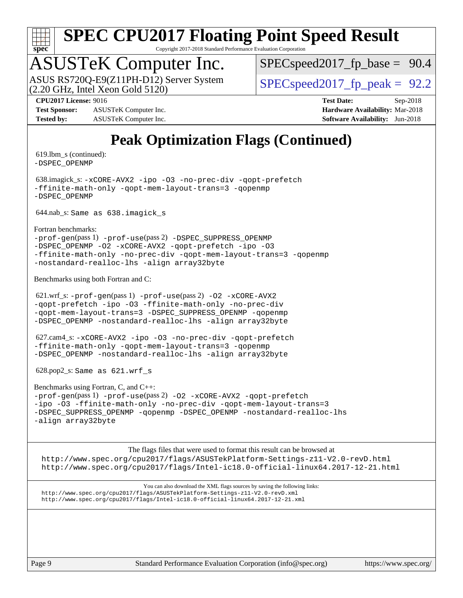

Copyright 2017-2018 Standard Performance Evaluation Corporation

# ASUSTeK Computer Inc.<br>ASUS RS720Q-E9(Z11PH-D12) Server System

 $(2.20 \text{ GHz}, \text{ Intel Xeon}$  Gold  $5120)$ 

 $SPECspeed2017_fp\_base = 90.4$ 

 $SPECspeed2017_fp\_peak = 92.2$ 

**[Test Sponsor:](http://www.spec.org/auto/cpu2017/Docs/result-fields.html#TestSponsor)** ASUSTeK Computer Inc. **[Hardware Availability:](http://www.spec.org/auto/cpu2017/Docs/result-fields.html#HardwareAvailability)** Mar-2018 **[Tested by:](http://www.spec.org/auto/cpu2017/Docs/result-fields.html#Testedby)** ASUSTeK Computer Inc. **[Software Availability:](http://www.spec.org/auto/cpu2017/Docs/result-fields.html#SoftwareAvailability)** Jun-2018

**[CPU2017 License:](http://www.spec.org/auto/cpu2017/Docs/result-fields.html#CPU2017License)** 9016 **[Test Date:](http://www.spec.org/auto/cpu2017/Docs/result-fields.html#TestDate)** Sep-2018

#### **[Peak Optimization Flags \(Continued\)](http://www.spec.org/auto/cpu2017/Docs/result-fields.html#PeakOptimizationFlags)**

 619.lbm\_s (continued): [-DSPEC\\_OPENMP](http://www.spec.org/cpu2017/results/res2018q4/cpu2017-20181015-09159.flags.html#suite_peakPASS2_COPTIMIZE619_lbm_s_DSPEC_OPENMP)

 638.imagick\_s: [-xCORE-AVX2](http://www.spec.org/cpu2017/results/res2018q4/cpu2017-20181015-09159.flags.html#user_peakCOPTIMIZE638_imagick_s_f-xCORE-AVX2) [-ipo](http://www.spec.org/cpu2017/results/res2018q4/cpu2017-20181015-09159.flags.html#user_peakCOPTIMIZE638_imagick_s_f-ipo) [-O3](http://www.spec.org/cpu2017/results/res2018q4/cpu2017-20181015-09159.flags.html#user_peakCOPTIMIZE638_imagick_s_f-O3) [-no-prec-div](http://www.spec.org/cpu2017/results/res2018q4/cpu2017-20181015-09159.flags.html#user_peakCOPTIMIZE638_imagick_s_f-no-prec-div) [-qopt-prefetch](http://www.spec.org/cpu2017/results/res2018q4/cpu2017-20181015-09159.flags.html#user_peakCOPTIMIZE638_imagick_s_f-qopt-prefetch) [-ffinite-math-only](http://www.spec.org/cpu2017/results/res2018q4/cpu2017-20181015-09159.flags.html#user_peakCOPTIMIZE638_imagick_s_f_finite_math_only_cb91587bd2077682c4b38af759c288ed7c732db004271a9512da14a4f8007909a5f1427ecbf1a0fb78ff2a814402c6114ac565ca162485bbcae155b5e4258871) [-qopt-mem-layout-trans=3](http://www.spec.org/cpu2017/results/res2018q4/cpu2017-20181015-09159.flags.html#user_peakCOPTIMIZE638_imagick_s_f-qopt-mem-layout-trans_de80db37974c74b1f0e20d883f0b675c88c3b01e9d123adea9b28688d64333345fb62bc4a798493513fdb68f60282f9a726aa07f478b2f7113531aecce732043) [-qopenmp](http://www.spec.org/cpu2017/results/res2018q4/cpu2017-20181015-09159.flags.html#user_peakCOPTIMIZE638_imagick_s_qopenmp_16be0c44f24f464004c6784a7acb94aca937f053568ce72f94b139a11c7c168634a55f6653758ddd83bcf7b8463e8028bb0b48b77bcddc6b78d5d95bb1df2967) [-DSPEC\\_OPENMP](http://www.spec.org/cpu2017/results/res2018q4/cpu2017-20181015-09159.flags.html#suite_peakCOPTIMIZE638_imagick_s_DSPEC_OPENMP)

644.nab\_s: Same as 638.imagick\_s

[Fortran benchmarks](http://www.spec.org/auto/cpu2017/Docs/result-fields.html#Fortranbenchmarks):

[-prof-gen](http://www.spec.org/cpu2017/results/res2018q4/cpu2017-20181015-09159.flags.html#user_FCpeak_prof_gen_5aa4926d6013ddb2a31985c654b3eb18169fc0c6952a63635c234f711e6e63dd76e94ad52365559451ec499a2cdb89e4dc58ba4c67ef54ca681ffbe1461d6b36)(pass 1) [-prof-use](http://www.spec.org/cpu2017/results/res2018q4/cpu2017-20181015-09159.flags.html#user_FCpeak_prof_use_1a21ceae95f36a2b53c25747139a6c16ca95bd9def2a207b4f0849963b97e94f5260e30a0c64f4bb623698870e679ca08317ef8150905d41bd88c6f78df73f19)(pass 2) [-DSPEC\\_SUPPRESS\\_OPENMP](http://www.spec.org/cpu2017/results/res2018q4/cpu2017-20181015-09159.flags.html#suite_FCpeak_DSPEC_SUPPRESS_OPENMP) [-DSPEC\\_OPENMP](http://www.spec.org/cpu2017/results/res2018q4/cpu2017-20181015-09159.flags.html#suite_FCpeak_DSPEC_OPENMP) [-O2](http://www.spec.org/cpu2017/results/res2018q4/cpu2017-20181015-09159.flags.html#user_FCpeak_f-O2) [-xCORE-AVX2](http://www.spec.org/cpu2017/results/res2018q4/cpu2017-20181015-09159.flags.html#user_FCpeak_f-xCORE-AVX2) [-qopt-prefetch](http://www.spec.org/cpu2017/results/res2018q4/cpu2017-20181015-09159.flags.html#user_FCpeak_f-qopt-prefetch) [-ipo](http://www.spec.org/cpu2017/results/res2018q4/cpu2017-20181015-09159.flags.html#user_FCpeak_f-ipo) [-O3](http://www.spec.org/cpu2017/results/res2018q4/cpu2017-20181015-09159.flags.html#user_FCpeak_f-O3) [-ffinite-math-only](http://www.spec.org/cpu2017/results/res2018q4/cpu2017-20181015-09159.flags.html#user_FCpeak_f_finite_math_only_cb91587bd2077682c4b38af759c288ed7c732db004271a9512da14a4f8007909a5f1427ecbf1a0fb78ff2a814402c6114ac565ca162485bbcae155b5e4258871) [-no-prec-div](http://www.spec.org/cpu2017/results/res2018q4/cpu2017-20181015-09159.flags.html#user_FCpeak_f-no-prec-div) [-qopt-mem-layout-trans=3](http://www.spec.org/cpu2017/results/res2018q4/cpu2017-20181015-09159.flags.html#user_FCpeak_f-qopt-mem-layout-trans_de80db37974c74b1f0e20d883f0b675c88c3b01e9d123adea9b28688d64333345fb62bc4a798493513fdb68f60282f9a726aa07f478b2f7113531aecce732043) [-qopenmp](http://www.spec.org/cpu2017/results/res2018q4/cpu2017-20181015-09159.flags.html#user_FCpeak_qopenmp_16be0c44f24f464004c6784a7acb94aca937f053568ce72f94b139a11c7c168634a55f6653758ddd83bcf7b8463e8028bb0b48b77bcddc6b78d5d95bb1df2967) [-nostandard-realloc-lhs](http://www.spec.org/cpu2017/results/res2018q4/cpu2017-20181015-09159.flags.html#user_FCpeak_f_2003_std_realloc_82b4557e90729c0f113870c07e44d33d6f5a304b4f63d4c15d2d0f1fab99f5daaed73bdb9275d9ae411527f28b936061aa8b9c8f2d63842963b95c9dd6426b8a) [-align array32byte](http://www.spec.org/cpu2017/results/res2018q4/cpu2017-20181015-09159.flags.html#user_FCpeak_align_array32byte_b982fe038af199962ba9a80c053b8342c548c85b40b8e86eb3cc33dee0d7986a4af373ac2d51c3f7cf710a18d62fdce2948f201cd044323541f22fc0fffc51b6)

[Benchmarks using both Fortran and C](http://www.spec.org/auto/cpu2017/Docs/result-fields.html#BenchmarksusingbothFortranandC):

 621.wrf\_s: [-prof-gen](http://www.spec.org/cpu2017/results/res2018q4/cpu2017-20181015-09159.flags.html#user_peakPASS1_CFLAGSPASS1_FFLAGSPASS1_LDFLAGS621_wrf_s_prof_gen_5aa4926d6013ddb2a31985c654b3eb18169fc0c6952a63635c234f711e6e63dd76e94ad52365559451ec499a2cdb89e4dc58ba4c67ef54ca681ffbe1461d6b36)(pass 1) [-prof-use](http://www.spec.org/cpu2017/results/res2018q4/cpu2017-20181015-09159.flags.html#user_peakPASS2_CFLAGSPASS2_FFLAGSPASS2_LDFLAGS621_wrf_s_prof_use_1a21ceae95f36a2b53c25747139a6c16ca95bd9def2a207b4f0849963b97e94f5260e30a0c64f4bb623698870e679ca08317ef8150905d41bd88c6f78df73f19)(pass 2) [-O2](http://www.spec.org/cpu2017/results/res2018q4/cpu2017-20181015-09159.flags.html#user_peakPASS1_COPTIMIZEPASS1_FOPTIMIZE621_wrf_s_f-O2) [-xCORE-AVX2](http://www.spec.org/cpu2017/results/res2018q4/cpu2017-20181015-09159.flags.html#user_peakPASS2_COPTIMIZEPASS2_FOPTIMIZE621_wrf_s_f-xCORE-AVX2) [-qopt-prefetch](http://www.spec.org/cpu2017/results/res2018q4/cpu2017-20181015-09159.flags.html#user_peakPASS1_COPTIMIZEPASS1_FOPTIMIZEPASS2_COPTIMIZEPASS2_FOPTIMIZE621_wrf_s_f-qopt-prefetch) [-ipo](http://www.spec.org/cpu2017/results/res2018q4/cpu2017-20181015-09159.flags.html#user_peakPASS2_COPTIMIZEPASS2_FOPTIMIZE621_wrf_s_f-ipo) [-O3](http://www.spec.org/cpu2017/results/res2018q4/cpu2017-20181015-09159.flags.html#user_peakPASS2_COPTIMIZEPASS2_FOPTIMIZE621_wrf_s_f-O3) [-ffinite-math-only](http://www.spec.org/cpu2017/results/res2018q4/cpu2017-20181015-09159.flags.html#user_peakPASS1_COPTIMIZEPASS1_FOPTIMIZEPASS2_COPTIMIZEPASS2_FOPTIMIZE621_wrf_s_f_finite_math_only_cb91587bd2077682c4b38af759c288ed7c732db004271a9512da14a4f8007909a5f1427ecbf1a0fb78ff2a814402c6114ac565ca162485bbcae155b5e4258871) [-no-prec-div](http://www.spec.org/cpu2017/results/res2018q4/cpu2017-20181015-09159.flags.html#user_peakPASS2_COPTIMIZEPASS2_FOPTIMIZE621_wrf_s_f-no-prec-div) [-qopt-mem-layout-trans=3](http://www.spec.org/cpu2017/results/res2018q4/cpu2017-20181015-09159.flags.html#user_peakPASS1_COPTIMIZEPASS1_FOPTIMIZEPASS2_COPTIMIZEPASS2_FOPTIMIZE621_wrf_s_f-qopt-mem-layout-trans_de80db37974c74b1f0e20d883f0b675c88c3b01e9d123adea9b28688d64333345fb62bc4a798493513fdb68f60282f9a726aa07f478b2f7113531aecce732043) [-DSPEC\\_SUPPRESS\\_OPENMP](http://www.spec.org/cpu2017/results/res2018q4/cpu2017-20181015-09159.flags.html#suite_peakPASS1_COPTIMIZEPASS1_FOPTIMIZE621_wrf_s_DSPEC_SUPPRESS_OPENMP) [-qopenmp](http://www.spec.org/cpu2017/results/res2018q4/cpu2017-20181015-09159.flags.html#user_peakPASS2_COPTIMIZEPASS2_FOPTIMIZE621_wrf_s_qopenmp_16be0c44f24f464004c6784a7acb94aca937f053568ce72f94b139a11c7c168634a55f6653758ddd83bcf7b8463e8028bb0b48b77bcddc6b78d5d95bb1df2967) [-DSPEC\\_OPENMP](http://www.spec.org/cpu2017/results/res2018q4/cpu2017-20181015-09159.flags.html#suite_peakPASS2_COPTIMIZEPASS2_FOPTIMIZE621_wrf_s_DSPEC_OPENMP) [-nostandard-realloc-lhs](http://www.spec.org/cpu2017/results/res2018q4/cpu2017-20181015-09159.flags.html#user_peakEXTRA_FOPTIMIZE621_wrf_s_f_2003_std_realloc_82b4557e90729c0f113870c07e44d33d6f5a304b4f63d4c15d2d0f1fab99f5daaed73bdb9275d9ae411527f28b936061aa8b9c8f2d63842963b95c9dd6426b8a) [-align array32byte](http://www.spec.org/cpu2017/results/res2018q4/cpu2017-20181015-09159.flags.html#user_peakEXTRA_FOPTIMIZE621_wrf_s_align_array32byte_b982fe038af199962ba9a80c053b8342c548c85b40b8e86eb3cc33dee0d7986a4af373ac2d51c3f7cf710a18d62fdce2948f201cd044323541f22fc0fffc51b6)

 627.cam4\_s: [-xCORE-AVX2](http://www.spec.org/cpu2017/results/res2018q4/cpu2017-20181015-09159.flags.html#user_peakCOPTIMIZEFOPTIMIZE627_cam4_s_f-xCORE-AVX2) [-ipo](http://www.spec.org/cpu2017/results/res2018q4/cpu2017-20181015-09159.flags.html#user_peakCOPTIMIZEFOPTIMIZE627_cam4_s_f-ipo) [-O3](http://www.spec.org/cpu2017/results/res2018q4/cpu2017-20181015-09159.flags.html#user_peakCOPTIMIZEFOPTIMIZE627_cam4_s_f-O3) [-no-prec-div](http://www.spec.org/cpu2017/results/res2018q4/cpu2017-20181015-09159.flags.html#user_peakCOPTIMIZEFOPTIMIZE627_cam4_s_f-no-prec-div) [-qopt-prefetch](http://www.spec.org/cpu2017/results/res2018q4/cpu2017-20181015-09159.flags.html#user_peakCOPTIMIZEFOPTIMIZE627_cam4_s_f-qopt-prefetch) [-ffinite-math-only](http://www.spec.org/cpu2017/results/res2018q4/cpu2017-20181015-09159.flags.html#user_peakCOPTIMIZEFOPTIMIZE627_cam4_s_f_finite_math_only_cb91587bd2077682c4b38af759c288ed7c732db004271a9512da14a4f8007909a5f1427ecbf1a0fb78ff2a814402c6114ac565ca162485bbcae155b5e4258871) [-qopt-mem-layout-trans=3](http://www.spec.org/cpu2017/results/res2018q4/cpu2017-20181015-09159.flags.html#user_peakCOPTIMIZEFOPTIMIZE627_cam4_s_f-qopt-mem-layout-trans_de80db37974c74b1f0e20d883f0b675c88c3b01e9d123adea9b28688d64333345fb62bc4a798493513fdb68f60282f9a726aa07f478b2f7113531aecce732043) [-qopenmp](http://www.spec.org/cpu2017/results/res2018q4/cpu2017-20181015-09159.flags.html#user_peakCOPTIMIZEFOPTIMIZE627_cam4_s_qopenmp_16be0c44f24f464004c6784a7acb94aca937f053568ce72f94b139a11c7c168634a55f6653758ddd83bcf7b8463e8028bb0b48b77bcddc6b78d5d95bb1df2967) [-DSPEC\\_OPENMP](http://www.spec.org/cpu2017/results/res2018q4/cpu2017-20181015-09159.flags.html#suite_peakCOPTIMIZEFOPTIMIZE627_cam4_s_DSPEC_OPENMP) [-nostandard-realloc-lhs](http://www.spec.org/cpu2017/results/res2018q4/cpu2017-20181015-09159.flags.html#user_peakEXTRA_FOPTIMIZE627_cam4_s_f_2003_std_realloc_82b4557e90729c0f113870c07e44d33d6f5a304b4f63d4c15d2d0f1fab99f5daaed73bdb9275d9ae411527f28b936061aa8b9c8f2d63842963b95c9dd6426b8a) [-align array32byte](http://www.spec.org/cpu2017/results/res2018q4/cpu2017-20181015-09159.flags.html#user_peakEXTRA_FOPTIMIZE627_cam4_s_align_array32byte_b982fe038af199962ba9a80c053b8342c548c85b40b8e86eb3cc33dee0d7986a4af373ac2d51c3f7cf710a18d62fdce2948f201cd044323541f22fc0fffc51b6)

628.pop2\_s: Same as 621.wrf\_s

[Benchmarks using Fortran, C, and C++:](http://www.spec.org/auto/cpu2017/Docs/result-fields.html#BenchmarksusingFortranCandCXX) [-prof-gen](http://www.spec.org/cpu2017/results/res2018q4/cpu2017-20181015-09159.flags.html#user_CC_CXX_FCpeak_prof_gen_5aa4926d6013ddb2a31985c654b3eb18169fc0c6952a63635c234f711e6e63dd76e94ad52365559451ec499a2cdb89e4dc58ba4c67ef54ca681ffbe1461d6b36)(pass 1) [-prof-use](http://www.spec.org/cpu2017/results/res2018q4/cpu2017-20181015-09159.flags.html#user_CC_CXX_FCpeak_prof_use_1a21ceae95f36a2b53c25747139a6c16ca95bd9def2a207b4f0849963b97e94f5260e30a0c64f4bb623698870e679ca08317ef8150905d41bd88c6f78df73f19)(pass 2) [-O2](http://www.spec.org/cpu2017/results/res2018q4/cpu2017-20181015-09159.flags.html#user_CC_CXX_FCpeak_f-O2) [-xCORE-AVX2](http://www.spec.org/cpu2017/results/res2018q4/cpu2017-20181015-09159.flags.html#user_CC_CXX_FCpeak_f-xCORE-AVX2) [-qopt-prefetch](http://www.spec.org/cpu2017/results/res2018q4/cpu2017-20181015-09159.flags.html#user_CC_CXX_FCpeak_f-qopt-prefetch) [-ipo](http://www.spec.org/cpu2017/results/res2018q4/cpu2017-20181015-09159.flags.html#user_CC_CXX_FCpeak_f-ipo) [-O3](http://www.spec.org/cpu2017/results/res2018q4/cpu2017-20181015-09159.flags.html#user_CC_CXX_FCpeak_f-O3) [-ffinite-math-only](http://www.spec.org/cpu2017/results/res2018q4/cpu2017-20181015-09159.flags.html#user_CC_CXX_FCpeak_f_finite_math_only_cb91587bd2077682c4b38af759c288ed7c732db004271a9512da14a4f8007909a5f1427ecbf1a0fb78ff2a814402c6114ac565ca162485bbcae155b5e4258871) [-no-prec-div](http://www.spec.org/cpu2017/results/res2018q4/cpu2017-20181015-09159.flags.html#user_CC_CXX_FCpeak_f-no-prec-div) [-qopt-mem-layout-trans=3](http://www.spec.org/cpu2017/results/res2018q4/cpu2017-20181015-09159.flags.html#user_CC_CXX_FCpeak_f-qopt-mem-layout-trans_de80db37974c74b1f0e20d883f0b675c88c3b01e9d123adea9b28688d64333345fb62bc4a798493513fdb68f60282f9a726aa07f478b2f7113531aecce732043) [-DSPEC\\_SUPPRESS\\_OPENMP](http://www.spec.org/cpu2017/results/res2018q4/cpu2017-20181015-09159.flags.html#suite_CC_CXX_FCpeak_DSPEC_SUPPRESS_OPENMP) [-qopenmp](http://www.spec.org/cpu2017/results/res2018q4/cpu2017-20181015-09159.flags.html#user_CC_CXX_FCpeak_qopenmp_16be0c44f24f464004c6784a7acb94aca937f053568ce72f94b139a11c7c168634a55f6653758ddd83bcf7b8463e8028bb0b48b77bcddc6b78d5d95bb1df2967) [-DSPEC\\_OPENMP](http://www.spec.org/cpu2017/results/res2018q4/cpu2017-20181015-09159.flags.html#suite_CC_CXX_FCpeak_DSPEC_OPENMP) [-nostandard-realloc-lhs](http://www.spec.org/cpu2017/results/res2018q4/cpu2017-20181015-09159.flags.html#user_CC_CXX_FCpeak_f_2003_std_realloc_82b4557e90729c0f113870c07e44d33d6f5a304b4f63d4c15d2d0f1fab99f5daaed73bdb9275d9ae411527f28b936061aa8b9c8f2d63842963b95c9dd6426b8a) [-align array32byte](http://www.spec.org/cpu2017/results/res2018q4/cpu2017-20181015-09159.flags.html#user_CC_CXX_FCpeak_align_array32byte_b982fe038af199962ba9a80c053b8342c548c85b40b8e86eb3cc33dee0d7986a4af373ac2d51c3f7cf710a18d62fdce2948f201cd044323541f22fc0fffc51b6)

The flags files that were used to format this result can be browsed at <http://www.spec.org/cpu2017/flags/ASUSTekPlatform-Settings-z11-V2.0-revD.html> <http://www.spec.org/cpu2017/flags/Intel-ic18.0-official-linux64.2017-12-21.html>

You can also download the XML flags sources by saving the following links: <http://www.spec.org/cpu2017/flags/ASUSTekPlatform-Settings-z11-V2.0-revD.xml> <http://www.spec.org/cpu2017/flags/Intel-ic18.0-official-linux64.2017-12-21.xml>